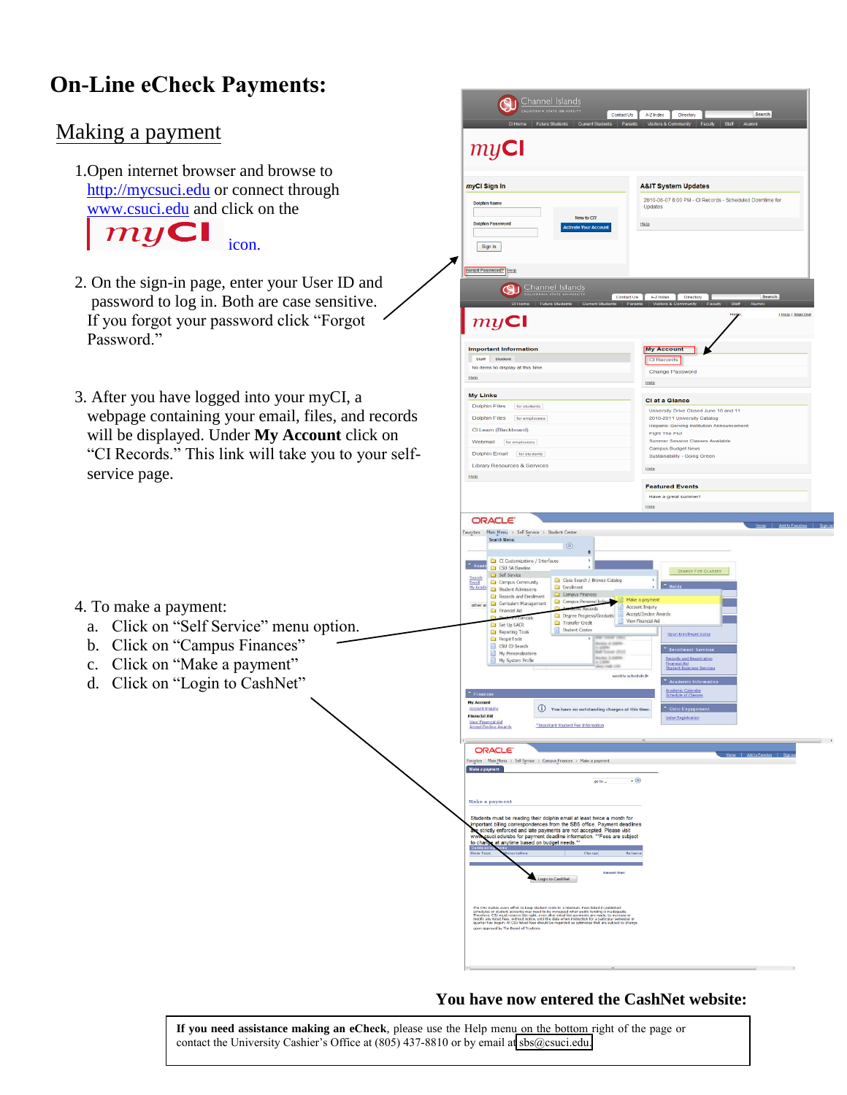## **On-Line eCheck Payments:**

## Making a payment

4. To make a payment:

437-810.<br>1970 - Paul Barnett, politik eta alderdizionen eta alderdizionen eta alderdizionen eta alderdizionen<br>1970 - Paul Barnett, politik eta alderdizionen eta alderdizionen eta alderdizionen eta alderdizionen eta alde

1.Open internet browser and browse to [http://mycsuci.edu](http://mycsuci.edu/) or connect through [www.csuci.edu](http://www.csuci.edu/) and click on the

 $m\nu$ Cl icon.

- 2. On the sign-in page, enter your User ID and password to log in. Both are case sensitive. If you forgot your password click "Forgot Password."
- 3. After you have logged into your myCI, a webpage containing your email, files, and records will be displayed. Under **My Account** click on "CI Records." This link will take you to your selfservice page.



## **You have now entered the CashNet website:**

**If you need assistance making an eCheck**, please use the Help menu on the bottom right of the page or contact the University Cashier's Office at (805) 437-8810 or by email a[t sbs@csuci.edu.](mailto:sbs@csuci.edu)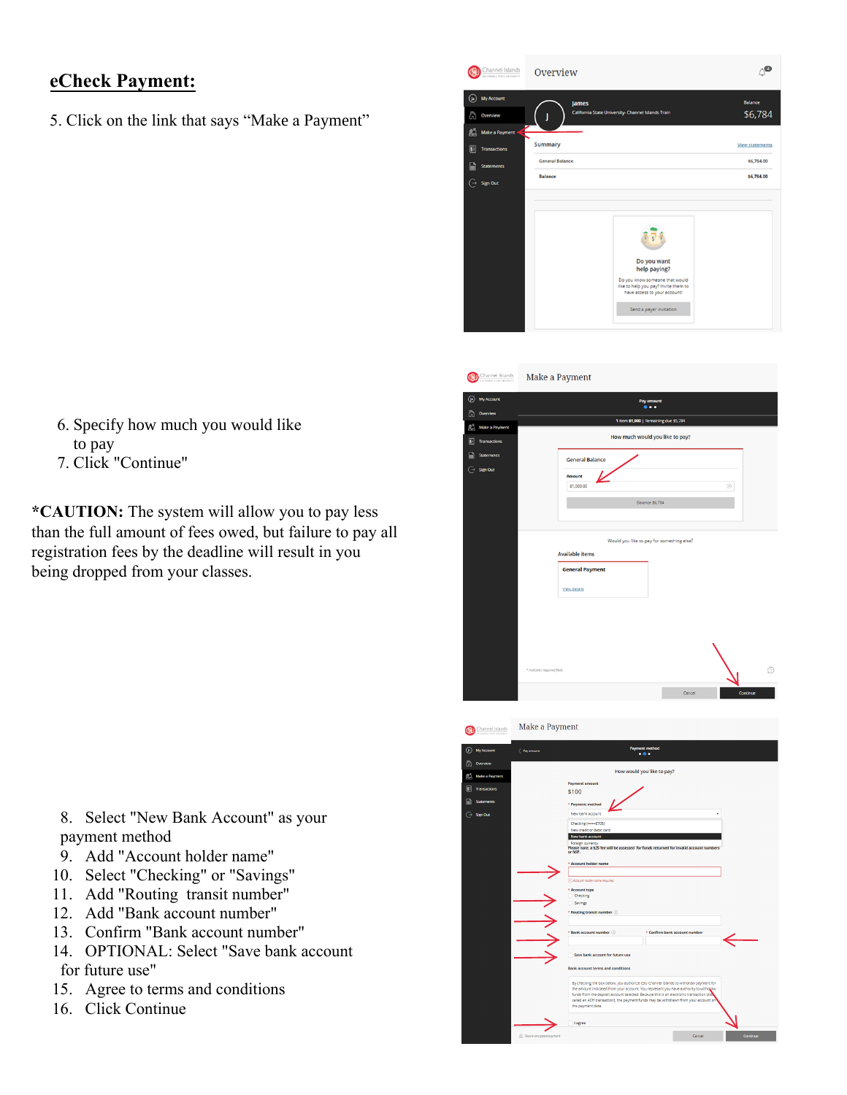## **eCheck Payment:**

5. Click on the link that says "Make a Payment"



| Channel Islands<br>currences con certain                | Make a Payment                                                                                                |  |  |  |
|---------------------------------------------------------|---------------------------------------------------------------------------------------------------------------|--|--|--|
| My Account<br>$\left( \blacksquare \right)$<br>Overview | Pay amount<br>$\bullet\bullet\bullet$                                                                         |  |  |  |
| ක                                                       | 1 item \$1,000   Remaining due \$5,784                                                                        |  |  |  |
| 鸕<br>Make a Payment<br>圆<br><b>Transactions</b>         | How much would you like to pay?                                                                               |  |  |  |
| P<br><b>Statements</b>                                  | <b>General Balance</b>                                                                                        |  |  |  |
| G<br>Sign Out                                           | <b>Amount</b><br>$\odot$<br>\$1,000.00                                                                        |  |  |  |
|                                                         | Balance \$6,784                                                                                               |  |  |  |
|                                                         | Would you like to pay for something else?<br><b>Available items</b><br><b>General Payment</b><br>View details |  |  |  |
|                                                         | ⊚<br>* Indicates required field<br>Cancel<br>Continue                                                         |  |  |  |



- 6. Specify how much you would like to pay
- 7. Click "Continue"

**\*CAUTION:** The system will allow you to pay less than the full amount of fees owed, but failure to pay all registration fees by the deadline will result in you being dropped from your classes.

- 8. Select "New Bank Account" as your payment method
- 9. Add "Account holder name"
- 10. Select "Checking" or "Savings"
- 11. Add "Routing transit number"
- 12. Add "Bank account number"
- 13. Confirm "Bank account number"
- 14. OPTIONAL: Select "Save bank account for future use"
- 15. Agree to terms and conditions
- 16. Click Continue